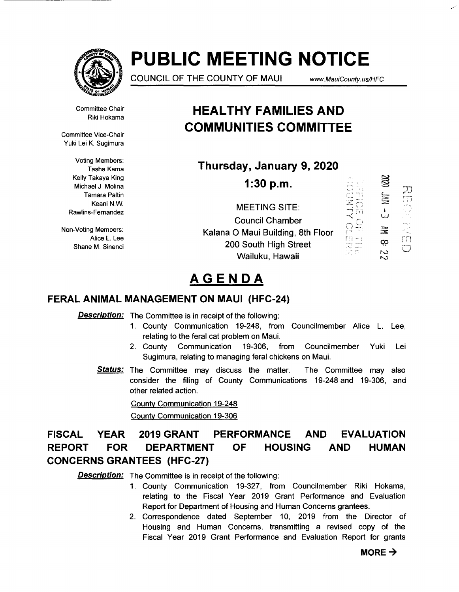

# **PUBLIC MEETING NOTICE**

COUNCIL OF THE COUNTY OF MAUl www. MauiCounty. us/HFC

 $\mathcal{E}^{(n)}$  . .  $\sum_{\sigma}$ 

 $\frac{1}{2}$ 

 $\mathop{\oplus}\limits_{i}$   $\mathop{\oplus}\limits_{i}$ 

Д)

Committee Chair Riki Hokama

Committee Vice-Chair Yuki Lei K. Sugimura

> Voting Members: Tasha Kama Kelly Takaya King Michael J. Molina Tamara Paltin Keani N.W. Rawlins-Fernandez

Non-Voting Members: Alice L. Lee Shane M. Sinenci

## **HEAL THY FAMILIES AND COMMUNITIES COMMITTEE**

**Thursday, January 9, 2020** 

**1:30 p.m.** 

MEETING SITE: Council Chamber Kalana 0 Maui Building, 8th Floor 200 South High Street Wailuku, Hawaii



# **AGENDA**

### **FERAL ANIMAL MANAGEMENT ON MAUl (HFC-24)**

**Description:** The Committee is in receipt of the following:

- 1. County Communication 19-248, from Councilmember Alice L. Lee, relating to the feral cat problem on Maui.
- 2. County Communication 19-306, from Councilmember Yuki Lei Sugimura, relating to managing feral chickens on Maui.
- **Status:** The Committee may discuss the matter. The Committee may also consider the filing of County Communications 19-248 and 19-306, and other related action.

County Communication 19-248

County Communication 19-306

### **FISCAL YEAR 2019 GRANT PERFORMANCE AND EVALUATION REPORT FOR DEPARTMENT OF HOUSING AND HUMAN CONCERNS GRANTEES (HFC-27)**

**Description:** The Committee is in receipt of the following:

- 1. County Communication 19-327, from Councilmember Riki Hokama, relating to the Fiscal Year 2019 Grant Performance and Evaluation Report for Department of Housing and Human Concerns grantees.
- 2. Correspondence dated September 10, 2019 from the Director of Housing and Human Concerns, transmitting a revised copy of the Fiscal Year 2019 Grant Performance and Evaluation Report for grants